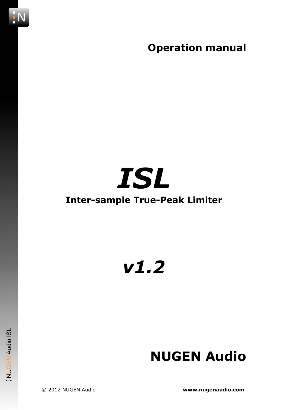Operation manual

## ISL

#### Inter-sample True-Peak Limiter

### v1.2

# **NUGEN Audio ISL**

NUGEN Audio

© 2012 NUGEN Audio www.nugenaudio.com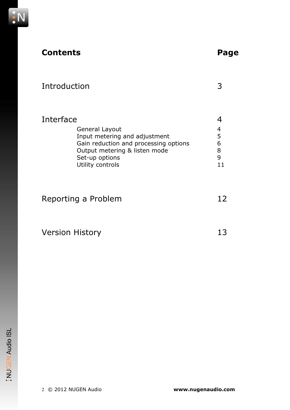

#### Contents Page

| Introduction |                                                                                                                                                         |  |  |
|--------------|---------------------------------------------------------------------------------------------------------------------------------------------------------|--|--|
| Interface    |                                                                                                                                                         |  |  |
|              | General Layout                                                                                                                                          |  |  |
|              | Input metering and adjustment                                                                                                                           |  |  |
|              | $\sum_{n=1}^{\infty}$ and $\sum_{n=1}^{\infty}$ and $\sum_{n=1}^{\infty}$ and $\sum_{n=1}^{\infty}$ and $\sum_{n=1}^{\infty}$ and $\sum_{n=1}^{\infty}$ |  |  |

| Gain reduction and processing options | b |
|---------------------------------------|---|
| Output metering & listen mode         | 8 |
| Set-up options                        | q |
| Utility controls                      |   |
|                                       |   |

| Reporting a Problem | 12 |
|---------------------|----|
|                     |    |
|                     |    |

| <b>Version History</b> | 13 |
|------------------------|----|
|------------------------|----|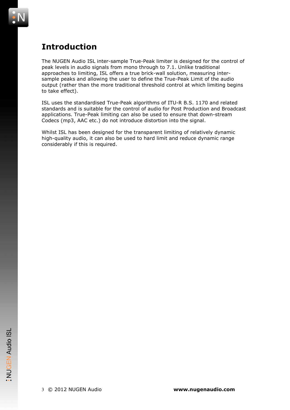

#### Introduction

The NUGEN Audio ISL inter-sample True-Peak limiter is designed for the control of peak levels in audio signals from mono through to 7.1. Unlike traditional approaches to limiting, ISL offers a true brick-wall solution, measuring intersample peaks and allowing the user to define the True-Peak Limit of the audio output (rather than the more traditional threshold control at which limiting begins to take effect).

ISL uses the standardised True-Peak algorithms of ITU-R B.S. 1170 and related standards and is suitable for the control of audio for Post Production and Broadcast applications. True-Peak limiting can also be used to ensure that down-stream Codecs (mp3, AAC etc.) do not introduce distortion into the signal.

Whilst ISL has been designed for the transparent limiting of relatively dynamic high-quality audio, it can also be used to hard limit and reduce dynamic range considerably if this is required.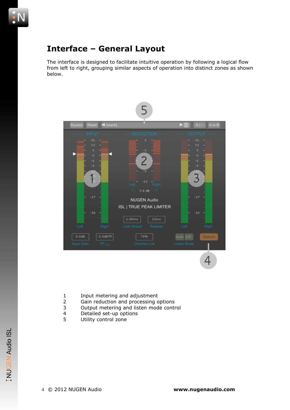

#### Interface – General Layout

The interface is designed to facilitate intuitive operation by following a logical flow from left to right, grouping similar aspects of operation into distinct zones as shown below.



- 1 Input metering and adjustment<br>2 Gain reduction and processing c
- Gain reduction and processing options
- 3 Output metering and listen mode control<br>4 Detailed set-up options
- 4 Detailed set-up options<br>5 Utility control zone
- Utility control zone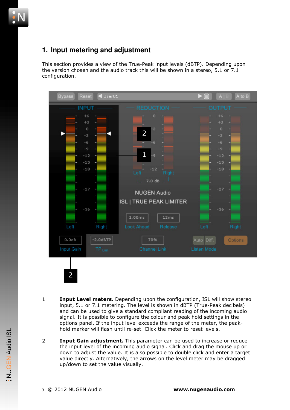

#### **1. Input metering and adjustment**

This section provides a view of the True-Peak input levels (dBTP). Depending upon the version chosen and the audio track this will be shown in a stereo, 5.1 or 7.1 configuration.



- **1** Input Level meters. Depending upon the configuration, ISL will show stereo input, 5.1 or 7.1 metering. The level is shown in dBTP (True-Peak decibels) and can be used to give a standard compliant reading of the incoming audio signal. It is possible to configure the colour and peak hold settings in the options panel. If the input level exceeds the range of the meter, the peakhold marker will flash until re-set. Click the meter to reset levels.
- 2 **Input Gain adjustment.** This parameter can be used to increase or reduce the input level of the incoming audio signal. Click and drag the mouse up or down to adjust the value. It is also possible to double click and enter a target value directly. Alternatively, the arrows on the level meter may be dragged up/down to set the value visually.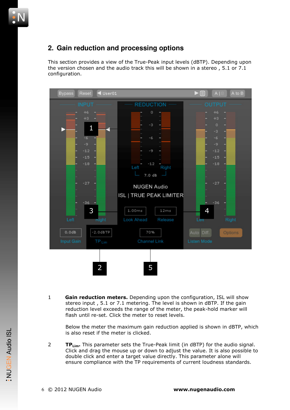

#### **2. Gain reduction and processing options**

This section provides a view of the True-Peak input levels (dBTP). Depending upon the version chosen and the audio track this will be shown in a stereo , 5.1 or 7.1 configuration.



1 Gain reduction meters. Depending upon the configuration, ISL will show stereo input , 5.1 or 7.1 metering. The level is shown in dBTP. If the gain reduction level exceeds the range of the meter, the peak-hold marker will flash until re-set. Click the meter to reset levels.

Below the meter the maximum gain reduction applied is shown in dBTP, which is also reset if the meter is clicked.

**TP<sub>Lim</sub>**. This parameter sets the True-Peak limit (in dBTP) for the audio signal. Click and drag the mouse up or down to adjust the value. It is also possible to double click and enter a target value directly. This parameter alone will ensure compliance with the TP requirements of current loudness standards.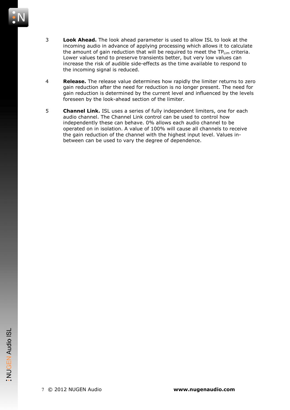

- 3 **Look Ahead.** The look ahead parameter is used to allow ISL to look at the incoming audio in advance of applying processing which allows it to calculate the amount of gain reduction that will be required to meet the  $TP_{\text{lim}}$  criteria. Lower values tend to preserve transients better, but very low values can increase the risk of audible side-effects as the time available to respond to the incoming signal is reduced.
- **4** Release. The release value determines how rapidly the limiter returns to zero gain reduction after the need for reduction is no longer present. The need for gain reduction is determined by the current level and influenced by the levels foreseen by the look-ahead section of the limiter.
- 5 **Channel Link.** ISL uses a series of fully independent limiters, one for each audio channel. The Channel Link control can be used to control how independently these can behave. 0% allows each audio channel to be operated on in isolation. A value of 100% will cause all channels to receive the gain reduction of the channel with the highest input level. Values inbetween can be used to vary the degree of dependence.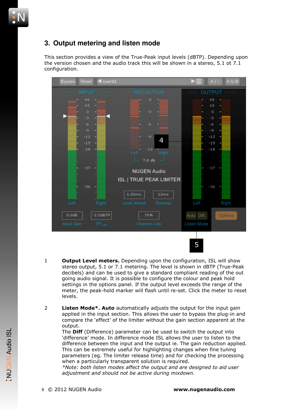

#### **3. Output metering and listen mode**

This section provides a view of the True-Peak input levels (dBTP). Depending upon the version chosen and the audio track this will be shown in a stereo, 5.1 ot 7.1 configuration.



- 1 **Output Level meters.** Depending upon the configuration, ISL will show stereo output, 5.1 or 7.1 metering. The level is shown in dBTP (True-Peak decibels) and can be used to give a standard compliant reading of the out going audio signal. It is possible to configure the colour and peak hold settings in the options panel. If the output level exceeds the range of the meter, the peak-hold marker will flash until re-set. Click the meter to reset levels.
- 2 **Listen Mode\*. Auto** automatically adjusts the output for the input gain applied in the input section. This allows the user to bypass the plug-in and compare the 'effect' of the limiter without the gain section apparent at the output.

The **Diff** (Difference) parameter can be used to switch the output into 'difference' mode. In difference mode ISL allows the user to listen to the difference between the input and the output ie. The gain reduction applied. This can be extremely useful for highlighting changes when fine tuning parameters (eg. The limiter release time) and for checking the processing when a particularly transparent solution is required.

\*Note: both listen modes affect the output and are designed to aid user adjustment and should not be active during mixdown.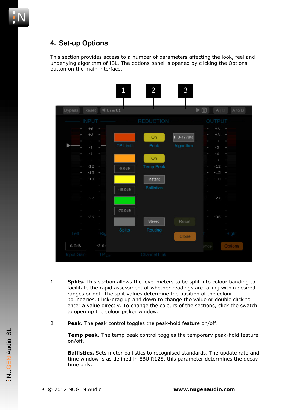

This section provides access to a number of parameters affecting the look, feel and underlying algorithm of ISL. The options panel is opened by clicking the Options button on the main interface.



- 1 Splits. This section allows the level meters to be split into colour banding to facilitate the rapid assessment of whether readings are falling within desired ranges or not. The split values determine the position of the colour boundaries. Click-drag up and down to change the value or double click to enter a value directly. To change the colours of the sections, click the swatch to open up the colour picker window.
- 2 Peak. The peak control toggles the peak-hold feature on/off.

Temp peak. The temp peak control toggles the temporary peak-hold feature on/off.

**Ballistics.** Sets meter ballistics to recognised standards. The update rate and time window is as defined in EBU R128, this parameter determines the decay time only.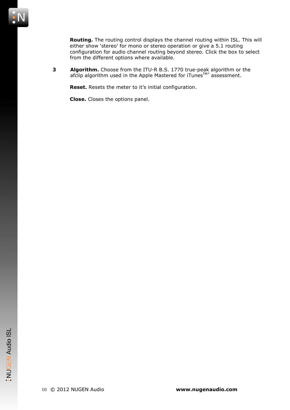Routing. The routing control displays the channel routing within ISL. This will either show 'stereo' for mono or stereo operation or give a 5.1 routing configuration for audio channel routing beyond stereo. Click the box to select from the different options where available.

**3 Algorithm.** Choose from the ITU-R B.S. 1770 true-peak algorithm or the afclip algorithm used in the Apple Mastered for iTunes $\text{I}^{\text{M}*}$  assessment.

Reset. Resets the meter to it's initial configuration.

Close. Closes the options panel.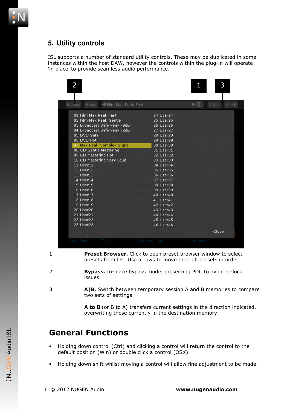#### **5. Utility controls**

ISL supports a number of standard utility controls. These may be duplicated in some instances within the host DAW, however the controls within the plug-in will operate 'in place' to provide seamless audio performance.

| 2                                                                                                                                                                                                                                                                                 |                                                                                                                                                  |                                                                                                                                                                                                                                                                                                         |             | 3                    |
|-----------------------------------------------------------------------------------------------------------------------------------------------------------------------------------------------------------------------------------------------------------------------------------|--------------------------------------------------------------------------------------------------------------------------------------------------|---------------------------------------------------------------------------------------------------------------------------------------------------------------------------------------------------------------------------------------------------------------------------------------------------------|-------------|----------------------|
| <b>Bypass</b>                                                                                                                                                                                                                                                                     | Reset < Film Max Peak Fast                                                                                                                       |                                                                                                                                                                                                                                                                                                         | ▶ 闫         | $A \mid B$<br>A to B |
| 01 Film Max Peak Fast<br>05 DVD Safe<br>06 DVD Hot<br>08 CD Gentle Mastering<br>09 CD Mastering Hot<br>11 User11<br>12 User12<br>13 User13<br>14 User14<br>$15$ User $15$<br>16 User16<br>17 User17<br>18 User18<br>19 User19<br>20 User20<br>21 User21<br>22 User22<br>23 User23 | 02 Film Max Peak Gentle<br>03 Broadcast Safe Peak -9dB<br>04 Broadcast Safe Peak -2dB<br>07 Max Peak Complex Signal<br>10 CD Mastering Very Loud | 24 User24<br>25 User25<br>26 User26<br>27 User27<br>28 User28<br>29 User29<br>30 User30<br>31 User31<br>32 User32<br>33 User33<br>34 User34<br>35 User35<br>36 User36<br>37 User37<br>38 User38<br>39 User39<br>40 User40<br>41 User41<br>42 User42<br>43 User43<br>44 User44<br>45 User45<br>46 User46 |             | Close                |
| <b>Input Gain</b>                                                                                                                                                                                                                                                                 | TP Lim                                                                                                                                           | Channel Link                                                                                                                                                                                                                                                                                            | Listen Mode |                      |

1 **Preset Browser.** Click to open preset browser window to select presets from list. Use arrows to move through presets in order.

- 2 **Bypass.** In-place bypass mode, preserving PDC to avoid re-lock issues.
- 3 **A|B.** Switch between temporary session A and B memories to compare two sets of settings.

A to B (or B to A) transfers current settings in the direction indicated, overwriting those currently in the destination memory.

#### General Functions

- Holding down control (Ctrl) and clicking a control will return the control to the default position (Win) or double click a control (OSX).
- Holding down shift whilst moving a control will allow fine adjustment to be made.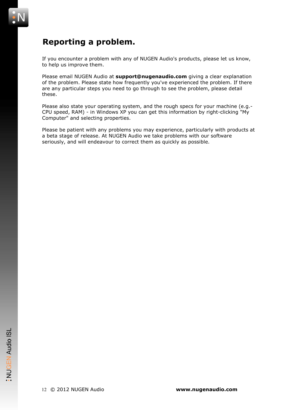

#### Reporting a problem.

If you encounter a problem with any of NUGEN Audio's products, please let us know, to help us improve them.

Please email NUGEN Audio at support@nugenaudio.com giving a clear explanation of the problem. Please state how frequently you've experienced the problem. If there are any particular steps you need to go through to see the problem, please detail these.

Please also state your operating system, and the rough specs for your machine (e.g.- CPU speed, RAM) - in Windows XP you can get this information by right-clicking "My Computer" and selecting properties.

Please be patient with any problems you may experience, particularly with products at a beta stage of release. At NUGEN Audio we take problems with our software seriously, and will endeavour to correct them as quickly as possible.